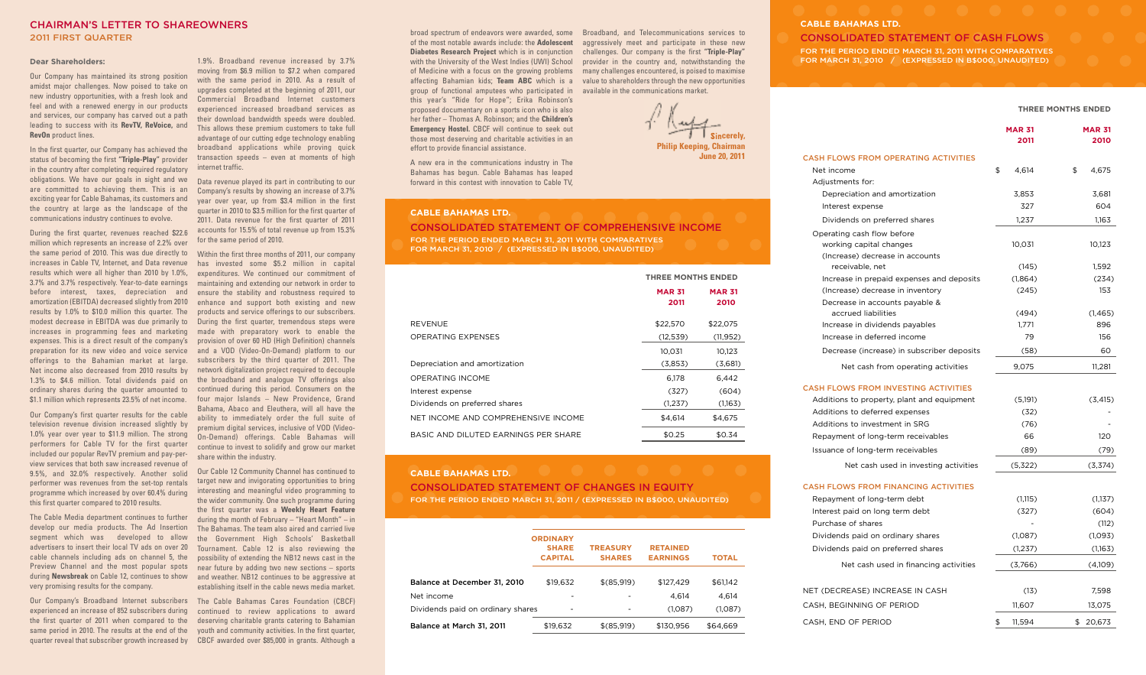# **CHAIRMAN'S LETTER TO SHAREOWNERS 2011 FIRST QUARTER**

#### **Dear Shareholders:**

Our Company has maintained its strong position amidst major challenges. Now poised to take on new industry opportunities, with a fresh look and feel and with a renewed energy in our products and services, our company has carved out a path leading to success with its **RevTV, ReVoice,** and **RevOn** product lines.

In the first quarter, our Company has achieved the status of becoming the first **"Triple-Play"** provider in the country after completing required regulatory obligations. We have our goals in sight and we are committed to achieving them. This is an exciting year for Cable Bahamas, its customers and the country at large as the landscape of the communications industry continues to evolve.

During the first quarter, revenues reached \$22.6 million which represents an increase of 2.2% over the same period of 2010. This was due directly to Within the first three months of 2011, our company increases in Cable TV, Internet, and Data revenue results which were all higher than 2010 by 1.0%, expenditures. We continued our commitment of 3.7% and 3.7% respectively. Year-to-date earnings maintaining and extending our network in order to before interest, taxes, depreciation and amortization (EBITDA) decreased slightly from 2010 enhance and support both existing and new results by 1.0% to \$10.0 million this quarter. The modest decrease in EBITDA was due primarily to increases in programming fees and marketing made with preparatory work to enable the expenses. This is a direct result of the company's provision of over 60 HD (High Definition) channels preparation for its new video and voice service offerings to the Bahamian market at large. Net income also decreased from 2010 results by network digitalization project required to decouple 1.3% to \$4.6 million. Total dividends paid on ordinary shares during the quarter amounted to \$1.1 million which represents 23.5% of net income.

Our Company's first quarter results for the cable television revenue division increased slightly by 1.0% year over year to \$11.9 million. The strong performers for Cable TV for the first quarter included our popular RevTV premium and pay-perview services that both saw increased revenue of 9.5%, and 32.0% respectively. Another solid performer was revenues from the set-top rentals programme which increased by over 60.4% during this first quarter compared to 2010 results.

The Cable Media department continues to further develop our media products. The Ad Insertion segment which was developed to allow advertisers to insert their local TV ads on over 20 cable channels including ads on channel 5, the Preview Channel and the most popular spots during **Newsbreak** on Cable 12, continues to show very promising results for the company.

Our Company's Broadband Internet subscribers The Cable Bahamas Cares Foundation (CBCF) experienced an increase of 852 subscribers during the first quarter of 2011 when compared to the same period in 2010. The results at the end of the quarter reveal that subscriber growth increased by CBCF awarded over \$85,000 in grants. Although a

1.9%. Broadband revenue increased by 3.7% moving from \$6.9 million to \$7.2 when compared with the same period in 2010. As a result of upgrades completed at the beginning of 2011, our Commercial Broadband Internet customers experienced increased broadband services as their download bandwidth speeds were doubled. This allows these premium customers to take full advantage of our cutting edge technology enabling broadband applications while proving quick transaction speeds – even at moments of high internet traffic.

Data revenue played its part in contributing to our Company's results by showing an increase of 3.7% year over year, up from \$3.4 million in the first quarter in 2010 to \$3.5 million for the first quarter of 2011. Data revenue for the first quarter of 2011 accounts for 15.5% of total revenue up from 15.3% for the same period of 2010.

has invested some \$5.2 million in capital ensure the stability and robustness required to products and service offerings to our subscribers. During the first quarter, tremendous steps were and a VOD (Video-On-Demand) platform to our subscribers by the third quarter of 2011. The the broadband and analogue TV offerings also continued during this period. Consumers on the four major Islands – New Providence, Grand Bahama, Abaco and Eleuthera, will all have the ability to immediately order the full suite of premium digital services, inclusive of VOD (Video-On-Demand) offerings. Cable Bahamas will continue to invest to solidify and grow our market share within the industry.

Our Cable 12 Community Channel has continued to target new and invigorating opportunities to bring interesting and meaningful video programming to the wider community. One such programme during the first quarter was a **Weekly Heart Feature** during the month of February – "Heart Month" – in The Bahamas. The team also aired and carried live the Government High Schools' Basketball Tournament. Cable 12 is also reviewing the possibility of extending the NB12 news cast in the near future by adding two new sections – sports and weather. NB12 continues to be aggressive at establishing itself in the cable news media market.

continued to review applications to award deserving charitable grants catering to Bahamian youth and community activities. In the first quarter,

broad spectrum of endeavors were awarded, some Broadband, and Telecommunications services to of the most notable awards include: the **Adolescent** aggressively meet and participate in these new **Diabetes Research Project** which is in conjunction with the University of the West Indies (UWI) School of Medicine with a focus on the growing problems many challenges encountered, is poised to maximise affecting Bahamian kids; **Team ABC** which is a value to shareholders through the new opportunities group of functional amputees who participated in available in the communications market. this year's "Ride for Hope"; Erika Robinson's proposed documentary on a sports icon who is also her father – Thomas A. Robinson; and the **Children's Emergency Hostel.** CBCF will continue to seek out those most deserving and charitable activities in an effort to provide financial assistance.

A new era in the communications industry in The Bahamas has begun. Cable Bahamas has leaped forward in this contest with innovation to Cable TV,

# **CABLE BAHAMAS LTD.**

**CONSOLIDATED STATEMENT OF COMPREHENSIVE INCOME**

challenges. Our company is the first **"Triple-Play"** provider in the country and, notwithstanding the

**Sincerely,**

**June 20, 2011**

**Philip Keeping, Chairman**

**FOR THE PERIOD ENDED MARCH 31, 2011 WITH COMPARATIVES FOR MARCH 31, 2010 / (EXPRESSED IN B\$000, UNAUDITED)**

|                                      | <b>THREE MONTHS ENDED</b> |                       |
|--------------------------------------|---------------------------|-----------------------|
|                                      | <b>MAR 31</b><br>2011     | <b>MAR 31</b><br>2010 |
| <b>REVENUE</b>                       | \$22,570                  | \$22,075              |
| <b>OPERATING EXPENSES</b>            | (12, 539)                 | (11, 952)             |
|                                      | 10.031                    | 10.123                |
| Depreciation and amortization        | (3,853)                   | (3,681)               |
| OPERATING INCOME                     | 6.178                     | 6.442                 |
| Interest expense                     | (327)                     | (604)                 |
| Dividends on preferred shares        | (1,237)                   | (1,163)               |
| NET INCOME AND COMPREHENSIVE INCOME  | \$4,614                   | \$4,675               |
| BASIC AND DILUTED EARNINGS PER SHARE | \$0.25                    | \$0.34                |

#### **CABLE BAHAMAS LTD.**

# **CONSOLIDATED STATEMENT OF CHANGES IN EQUITY FOR THE PERIOD ENDED MARCH 31, 2011 / (EXPRESSED IN B\$000, UNAUDITED)**

|                                   | <b>ORDINARY</b><br><b>SHARE</b><br><b>CAPITAL</b> | <b>TREASURY</b><br><b>SHARES</b> | <b>RETAINED</b><br><b>EARNINGS</b> | <b>TOTAL</b> |  |
|-----------------------------------|---------------------------------------------------|----------------------------------|------------------------------------|--------------|--|
| Balance at December 31, 2010      | \$19.632                                          | \$(85,919)                       | \$127.429                          | \$61,142     |  |
| Net income                        |                                                   |                                  | 4.614                              | 4,614        |  |
| Dividends paid on ordinary shares | -                                                 |                                  | (1,087)                            | (1,087)      |  |
| Balance at March 31, 2011         | \$19,632                                          | \$(85,919)                       | \$130.956                          | \$64,669     |  |

# **CABLE BAHAMAS LTD.**

**CONSOLIDATED STATEMENT OF CASH FLOWS FOR THE PERIOD ENDED MARCH 31, 2011 WITH COMPARATIVES FOR MARCH 31, 2010 / (EXPRESSED IN B\$000, UNAUDITED)**

#### **THREE MONTHS ENDED**

|                                                                                          | <b>MAR 31</b><br>2011 | <b>MAR 31</b><br>2010 |
|------------------------------------------------------------------------------------------|-----------------------|-----------------------|
| <b>CASH FLOWS FROM OPERATING ACTIVITIES</b>                                              |                       |                       |
| Net income                                                                               | \$<br>4,614           | \$<br>4,675           |
| Adjustments for:                                                                         |                       |                       |
| Depreciation and amortization                                                            | 3,853                 | 3,681                 |
| Interest expense                                                                         | 327                   | 604                   |
| Dividends on preferred shares                                                            | 1.237                 | 1,163                 |
| Operating cash flow before<br>working capital changes<br>(Increase) decrease in accounts | 10,031                | 10,123                |
| receivable, net                                                                          | (145)                 | 1,592                 |
| Increase in prepaid expenses and deposits                                                | (1,864)               | (234)                 |
| (Increase) decrease in inventory                                                         | (245)                 | 153                   |
| Decrease in accounts payable &<br>accrued liabilities                                    | (494)                 | (1, 465)              |
| Increase in dividends payables                                                           | 1.771                 | 896                   |
| Increase in deferred income                                                              | 79                    | 156                   |
| Decrease (increase) in subscriber deposits                                               | (58)                  | 60                    |
| Net cash from operating activities                                                       | 9,075                 | 11,281                |
| <b>CASH FLOWS FROM INVESTING ACTIVITIES</b>                                              |                       |                       |
| Additions to property, plant and equipment                                               | (5,191)               | (3, 415)              |
| Additions to deferred expenses                                                           | (32)                  |                       |
| Additions to investment in SRG                                                           | (76)                  |                       |
| Repayment of long-term receivables                                                       | 66                    | 120                   |
| Issuance of long-term receivables                                                        | (89)                  | (79)                  |
| Net cash used in investing activities                                                    | (5,322)               | (3,374)               |
| <b>CASH FLOWS FROM FINANCING ACTIVITIES</b>                                              |                       |                       |
| Repayment of long-term debt                                                              | (1, 115)              | (1,137)               |
| Interest paid on long term debt                                                          | (327)                 | (604)                 |
| Purchase of shares                                                                       |                       | (112)                 |
| Dividends paid on ordinary shares                                                        | (1,087)               | (1,093)               |
| Dividends paid on preferred shares                                                       | (1,237)               | (1,163)               |
| Net cash used in financing activities                                                    | (3,766)               | (4,109)               |
| NET (DECREASE) INCREASE IN CASH                                                          | (13)                  | 7,598                 |
| CASH, BEGINNING OF PERIOD                                                                | 11.607                | 13,075                |

CASH, END OF PERIOD **\$** 11,594 \$ 20,673